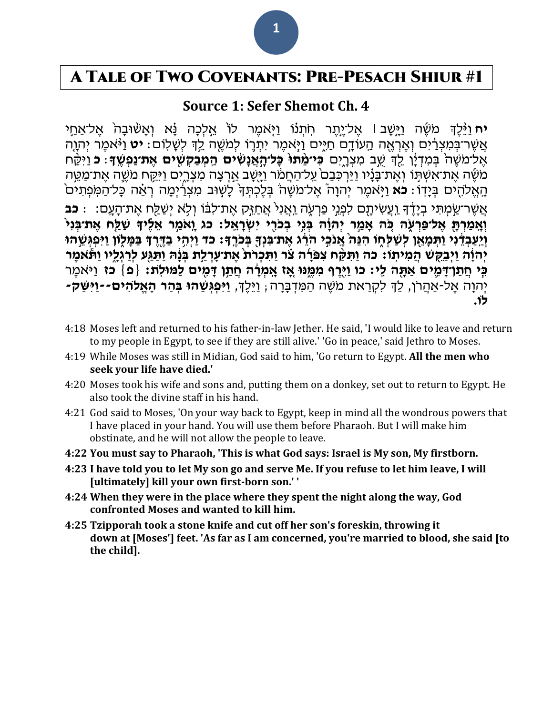## A Tale of Two Covenants: Pre-Pesach Shiur #1

### **Source 1: Sefer Shemot Ch. 4**

יח וַיֶּּלֵדְּ מֹשֶׁה וַיָּשָׁב ׀ אֱל־יֵתֶר חְתִנוֹ וַיִּאמֶר לוֹ אֱלְכָה נָּא וְאֲשִׁוּבָה אֱל־אַחֵי אֲשֶׁר־בִּמְצְרַ֫יִם וְאֵרְאֶה הַעוֹדֵם חַיִּים וַיַּאמֶר יִתְרֶוֹ לִמֹשֵׁה לֵדְ לְשָׁלִוֹם: **יט** וַיֹּּאמֶר יִהוֶה אֶל־מֹשֶׁה בְּמִדְיָ֫ן לֵךְ שֶׁב מִצְרֵיִם **כִּי־מֶתוּ כָּל־הָאֲנָשִׂים הַמְבַקְשָׁים אֶת־נַפְשֵׁךָ ּ׃ וַיִּ**קַּח מֹשֶּׁה אֶת־אִשְׁתָּוֹ וְאֶת־בָּנָ֫יו וַיַּרְכִּבֵם<sup>ּ</sup> עַל־הַחֲמֹר וַיָּשֶׁב אַרְצָה מִצְרֶיִם וַיִּקַּח מֹשֶׁה אֶת־מַמֵּה ֿהָאֱלֹהִים בְּיָדֹו: **כֹא** וַיִּאמֶר יְהוָה אֱל־מֹשֶׁה בְּלֶכְתָּךָ לָשְׁוּב מְצְרַיִמָּה רְאֶה כָּל־הַמִּפְתִים אֲ שֶ ר־שַ ָּ֣ מְ תִ י בְ יָׁדֶַ֔ ך וַ ֹֽ עֲשִ יתָׁ ֶ֖ ם לִפְ נ ָּ֣י פַרְ עִֹּ֑ ה וַ ֹֽאֲ נִיֹ֙ אֲ חַ ז ָּ֣ק אֶ ת־לִבַ֔ ֹו וְ ל ֵֹ֥ א יְשַ לַ ֶ֖ ח אֶ ת־הָׁ עָׁ ֹֽם: ׃ **כב**  וְאָמַרְתָּ אֲל־פַּרְעָׂה כֹּה אֲמֵר יְהוָֹה בְּנֵי בְכֹרֵי יְשַׂרָאֵל: כג וַאֹמֵר אֲלֶידָ שָׁלֵח אֶת־בְּנִיּ וְיַעֲבְדֶּנִי וַתְּמָאֵן לְשַׁלְחָו הִגֶּה אֲנֹכֵי הֹרֶג אֶת־בִּנְךָּ בְּכֹרֶךָּ: כֹד וַיְהֶי בַדֶּרֶךָ בַּמַּלְוֹן וַיִּפְגְּשֵׁהוּ יְהוָ**ֹה וַיִּבַקְשׁ הַמִיתְו: כה וַתִּקָּ**ח צִפּרָה צֹר וַתִּכְרֹת אֶת־עָרְלַת בְּנָּהּ וַתַּגַּע לְרַגְלֶיו וַתֹּאמֶר **ַּבְּי חֲתַרְדָּמֶים אַתָּה לִי: כו וַיָּרֵף מִמֶּנּוּ אֶז אֶמְרָה חֲתָן דָּמִים לַמּוּלְת: {פ<sup>ָּ</sup>} כז וַיּאמֶר** יְהוָה אֱל-אַהַרֹן, לֵךְ לִקְרַאת מֹשֶׁה הַמִּדִּבָּרָה; וַיֵּלֵךָ, **וַיִּפְגִּשֶׁהוּ בְּהַר הָאֱלֹהִים--וַיִּשַּׁק לֹו.**

- 4:18 Moses left and returned to his father-in-law [Jether.](http://bible.ort.org/books/pentd2.asp?ACTION=displaypage&BOOK=2&CHAPTER=4#C1043) He said, 'I would like to leave and return to my people in Egypt, to see if they are still alive.' 'Go in peace,' said Jethro to Moses.
- 4:19 While Moses was still in Midian, God said to him, 'Go return to Egypt. **All the men who seek your life have died.'**
- 4:20 Moses took his wife and [sons](http://bible.ort.org/books/pentd2.asp?ACTION=displaypage&BOOK=2&CHAPTER=4#C1044) and, putting them on a donkey, set out to return to Egypt. He also took the divine staff in his hand.
- 4:21 God said to Moses, 'On your way back to Egypt, keep in mind all the wondrous powers that I have placed in your hand. You will use them before Pharaoh. But I will [make](http://bible.ort.org/books/pentd2.asp?ACTION=displaypage&BOOK=2&CHAPTER=4#C1045) him [obstinate,](http://bible.ort.org/books/pentd2.asp?ACTION=displaypage&BOOK=2&CHAPTER=4#C1045) and he will not allow the people to leave.
- **4:22 You must say to Pharaoh, 'This is what God says: Israel is My son, My firstborn.**
- 4:23 I have told you to let My son go and serve Me. If you refuse to let him leave, I will **[ultimately] kill your own first-born son.' '**
- **4:24 When they were in the place where they spent the night along the way, God confronted Moses and [wanted](http://bible.ort.org/books/pentd2.asp?ACTION=displaypage&BOOK=2&CHAPTER=4#C1046) to kill him.**
- **4:25 Tzipporah took a stone knife and cut off her [son's](http://bible.ort.org/books/pentd2.asp?ACTION=displaypage&BOOK=2&CHAPTER=4#C1047) foreskin, [throwing](http://bible.ort.org/books/pentd2.asp?ACTION=displaypage&BOOK=2&CHAPTER=4#C1048) it [down](http://bible.ort.org/books/pentd2.asp?ACTION=displaypage&BOOK=2&CHAPTER=4#C1048) at [\[Moses'\]](http://bible.ort.org/books/pentd2.asp?ACTION=displaypage&BOOK=2&CHAPTER=4#C1049) feet. 'As far as I am concerned, you're [married](http://bible.ort.org/books/pentd2.asp?ACTION=displaypage&BOOK=2&CHAPTER=4#C1050) to [blood,](http://bible.ort.org/books/pentd2.asp?ACTION=displaypage&BOOK=2&CHAPTER=4#C1051) she said [\[to](http://bible.ort.org/books/pentd2.asp?ACTION=displaypage&BOOK=2&CHAPTER=4#C1052) the [child\].](http://bible.ort.org/books/pentd2.asp?ACTION=displaypage&BOOK=2&CHAPTER=4#C1052)**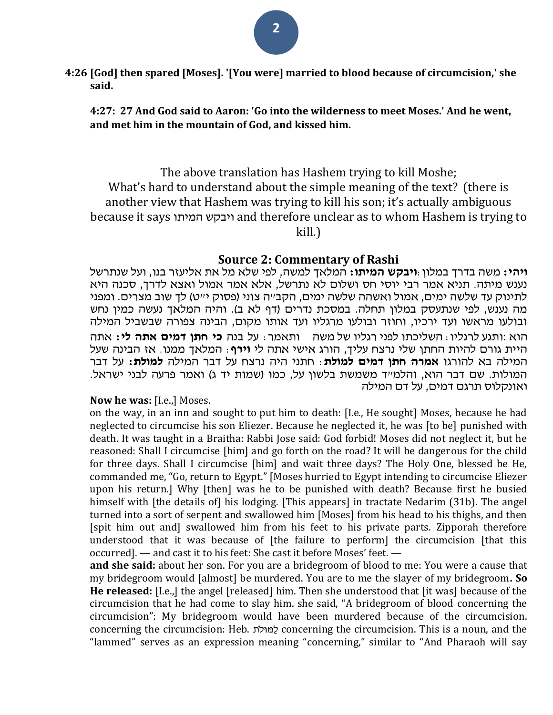**4:26 [God] then spared [Moses]. '[You were] married to blood because of circumcision,' she said.**

**4:27: 27 And God said to Aaron: 'Go into the wilderness to meet Moses.' And he went, and met him in the mountain of God, and kissed him.**

The above translation has Hashem trying to kill Moshe; What's hard to understand about the simple meaning of the text? (there is another view that Hashem was trying to kill his son; it's actually ambiguous because it says המיתו ויבקש and therefore unclear as to whom Hashem is trying to

kill.)

### **Source 2: Commentary of Rashi**

**ויהי:** משה בדרך במלון: **ויבקש המיתו:** המלאך למשה, לפי שלא מל את אליעזר בנו, ועל שנתרשל נענש מיתה. תניא אמר רבי יוסי חס ושלום לא נתרשל, אלא אמר אמול ואצא לדרך, סכנה היא לתינוק עד שלשה ימים, אמול ואשהה שלשה ימים, הקב״ה צוני (פסוק י״ט) לך שוב מצרים. ומפני מה נענש, לפי שנתעסק במלון תחלה. במסכת נדרים (דף לא ב). והיה המלאך נעשה כמין נחש ובולעו מראשו ועד ירכיו, וחוזר ובולעו מרגליו ועד אותו מקום, הבינה צפורה שבשביל המילה הוא :ותגע לרגליו: השליכתו לפני רגליו של משה ותאמר: על בנה **כי חתן דמים אתה לי:** אתה היית גורם להיות החתן שלי נרצח עליך, הורג אישי אתה לי **וירף**: המלאך ממנו. אז הבינה שעל המילה בא להורגו **אמרה חתן דמים למולת**: חתני היה נרצח על דבר המילה **למולת:** על דבר המולות. שם דבר הוא, והלמייד משמשת בלשון על, כמו (שמות יד ג) ואמר פרעה לבני ישראל. ואונקלוס תרגם דמים, על דם המילה

#### **Now he was:** [I.e.,] Moses.

on the way, in an inn and sought to put him to death: [I.e., He sought] Moses, because he had neglected to circumcise his son Eliezer. Because he neglected it, he was [to be] punished with death. It was taught in a Braitha: Rabbi Jose said: God forbid! Moses did not neglect it, but he reasoned: Shall I circumcise [him] and go forth on the road? It will be dangerous for the child for three days. Shall I circumcise [him] and wait three days? The Holy One, blessed be He, commanded me, "Go, return to Egypt." [Moses hurried to Egypt intending to circumcise Eliezer upon his return.] Why [then] was he to be punished with death? Because first he busied himself with [the details of] his lodging. [This appears] in tractate Nedarim (31b). The angel turned into a sort of serpent and swallowed him [Moses] from his head to his thighs, and then [spit him out and] swallowed him from his feet to his private parts. Zipporah therefore understood that it was because of [the failure to perform] the circumcision [that this occurred]. — and cast it to his feet: She cast it before Moses' feet. —

**and she said:** about her son. For you are a bridegroom of blood to me: You were a cause that my bridegroom would [almost] be murdered. You are to me the slayer of my bridegroom**. So He released:** [I.e.,] the angel [released] him. Then she understood that [it was] because of the circumcision that he had come to slay him. she said, "A bridegroom of blood concerning the circumcision": My bridegroom would have been murdered because of the circumcision. concerning the circumcision: Heb. לתֹוּמַל concerning the circumcision. This is a noun, and the "lammed" serves as an expression meaning "concerning," similar to "And Pharaoh will say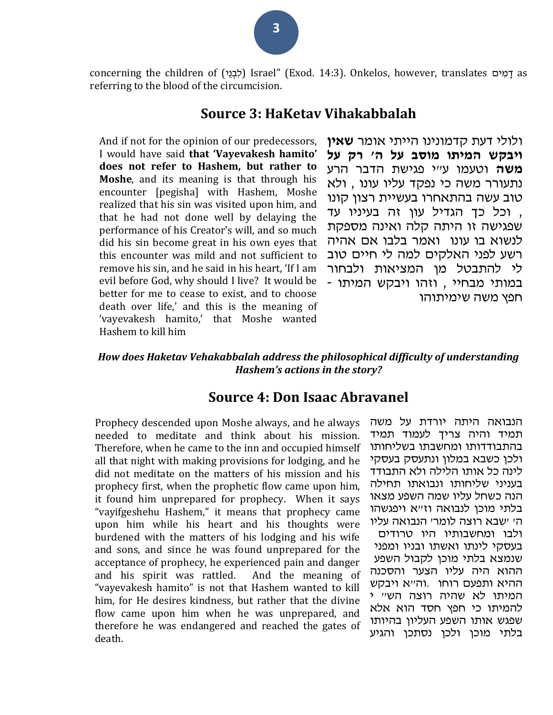concerning the children of (לְבְנֵי) Israel" (Exod. 14:3). Onkelos, however, translates יַמְים as referring to the blood of the circumcision.

### **Source 3: HaKetav Vihakabbalah**

And if not for the opinion of our predecessors, I would have said **that 'Vayevakesh hamito' does not refer to Hashem, but rather to Moshe**, and its meaning is that through his encounter [pegisha] with Hashem, Moshe realized that his sin was visited upon him, and that he had not done well by delaying the performance of his Creator's will, and so much did his sin become great in his own eyes that this encounter was mild and not sufficient to remove his sin, and he said in his heart, 'If I am evil before God, why should I live? It would be better for me to cease to exist, and to choose death over life,' and this is the meaning of 'vayevakesh hamito,' that Moshe wanted Hashem to kill him

ולולי דעת קדמונינו הייתי אומר **שאין ויבקש המיתו מוסב על ה' רק על משה** וטעמו ע"י פגישת הדבר הרע נתעורר משה כי נפקד עליו עונו , ולא טוב עשה בהתאחרו בעשיית רצון קונו , וכל כך הגדיל עון זה בעיניו עד שפגישה זו היתה קלה ואינה מספקת לנשוא בו עונו ואמר בלבו אם אהיה רשע לפני האלקים למה לי חיים טוב לי להתבטל מן המציאות ולבחור במותי מבחיי , וזהו ויבקש המיתו - חפץ משה שימיתוהו

### *How does Haketav Vehakabbalah address the philosophical difficulty of understanding Hashem's actions in the story?*

### **Source 4: Don Isaac Abravanel**

Prophecy descended upon Moshe always, and he always needed to meditate and think about his mission. Therefore, when he came to the inn and occupied himself all that night with making provisions for lodging, and he did not meditate on the matters of his mission and his prophecy first, when the prophetic flow came upon him, it found him unprepared for prophecy. When it says "vayifgeshehu Hashem," it means that prophecy came upon him while his heart and his thoughts were burdened with the matters of his lodging and his wife and sons, and since he was found unprepared for the acceptance of prophecy, he experienced pain and danger and his spirit was rattled. And the meaning of "vayevakesh hamito" is not that Hashem wanted to kill him, for He desires kindness, but rather that the divine flow came upon him when he was unprepared, and therefore he was endangered and reached the gates of death.

הנבואה היתה יורדת על משה תמיד והיה צריך לעמוד תמיד בהתבודדותו ומחשבתו בשליחותו ולכן כשבא במלון ונתעסק בעסקי לינה כל אותו הלילה ולא התבודד בעניני שליחותו ונבואתו תחילה הנה כשחל עליו שמה השפע מצאו בלתי מוכן לנבואה וז"א ויפגשהו ה' 'שבא רוצה לומר' הנבואה עליו

ולבו ומחשבותיו היו טרודים בעסקי לינתו ואשתו ובניו ומפני שנמצא בלתי מוכן לקבול השפע ההוא היה עליו הצער והסכנה ההיא ותפעם רוחו .וה"א ויבקש המיתו לא שהיה רוצה הש" י להמיתו כי חפץ חסד הוא אלא שפגש אותו השפע העליון בהיותו בלתי מוכן ולכן נסתכן והגיע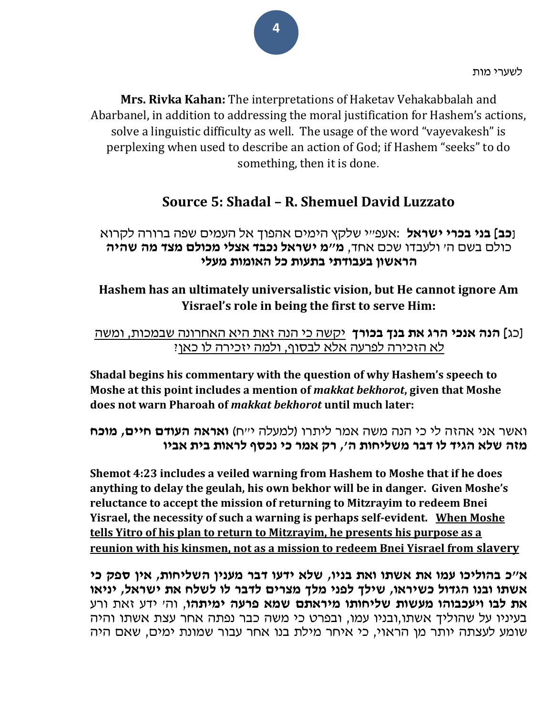לשערי מות

**Mrs. Rivka Kahan:** The interpretations of Haketav Vehakabbalah and Abarbanel, in addition to addressing the moral justification for Hashem's actions, solve a linguistic difficulty as well. The usage of the word "vayevakesh" is perplexing when used to describe an action of God; if Hashem "seeks" to do something, then it is done.

## **Source 5: Shadal – R. Shemuel David Luzzato**

### **]כב[ בני בכרי ישראל** :אעפ"י שלקץ הימים אהפוך אל העמים שפה ברורה לקרוא כולם בשם ה' ולעבדו שכם אחד, **מ"מ ישראל נכבד אצלי מכולם מצד מה שהיה הראשון בעבודתי בתעות כל האומות מעלי**

### **Hashem has an ultimately universalistic vision, but He cannot ignore Am Yisrael's role in being the first to serve Him:**

### ]כג**[ הנה אנכי הרג את בנך בכורך** יקשה כי הנה זאת היא האחרונה שבמכות, ומשה לא הזכירה לפרעה אלא לבסוף, ולמה יזכירה לו כאן?

**Shadal begins his commentary with the question of why Hashem's speech to Moshe at this point includes a mention of** *makkat bekhorot***, given that Moshe does not warn Pharoah of** *makkat bekhorot* **until much later:** 

ואשר אני אהזה לי כי הנה משה אמר ליתרו )למעלה י"ח( **ואראה העודם חיים, מוכח מזה שלא הגיד לו דבר משליחות ה', רק אמר כי נכסף לראות בית אביו** 

**Shemot 4:23 includes a veiled warning from Hashem to Moshe that if he does anything to delay the geulah, his own bekhor will be in danger. Given Moshe's reluctance to accept the mission of returning to Mitzrayim to redeem Bnei Yisrael, the necessity of such a warning is perhaps self-evident. When Moshe tells Yitro of his plan to return to Mitzrayim, he presents his purpose as a reunion with his kinsmen, not as a mission to redeem Bnei Yisrael from slavery**

**א"כ בהוליכו עמו את אשתו ואת בניו, שלא ידעו דבר מענין השליחות, אין ספק כי אשתו ובנו הגדול כשיראו, שילך לפני מלך מצרים לדבר לו לשלח את ישראל, יניאו את לבו ויעכבוהו מעשות שליחותו מיראתם שמא פרעה ימיתהו**, וה' ידע זאת ורע בעיניו על שהוליך אשתו,ובניו עמו, ובפרט כי משה כבר נפתה אחר עצת אשתו והיה שומע לעצתה יותר מן הראוי, כי איחר מילת בנו אחר עבור שמונת ימים, שאם היה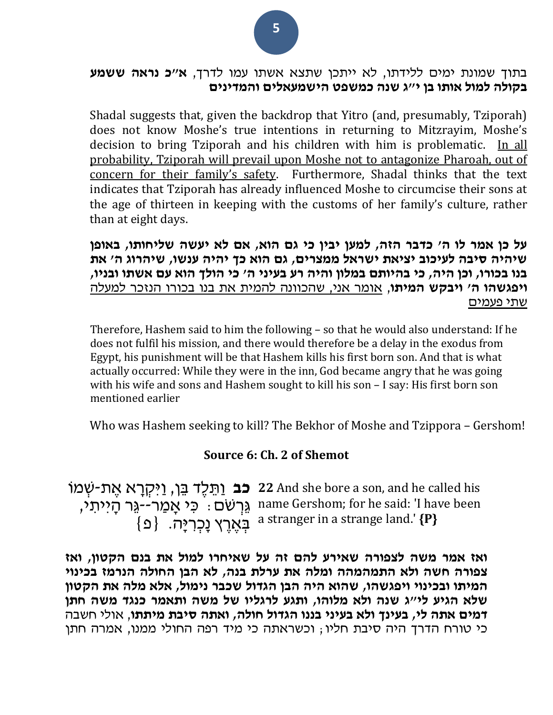### בתוך שמונת ימים ללידתו, לא ייתכן שתצא אשתו עמו לדרך, **א"כ נראה ששמע בקולה למול אותו בן י"ג שנה כמשפט הישמעאלים והמדינים**

Shadal suggests that, given the backdrop that Yitro (and, presumably, Tziporah) does not know Moshe's true intentions in returning to Mitzrayim, Moshe's decision to bring Tziporah and his children with him is problematic. In all probability, Tziporah will prevail upon Moshe not to antagonize Pharoah, out of concern for their family's safety. Furthermore, Shadal thinks that the text indicates that Tziporah has already influenced Moshe to circumcise their sons at the age of thirteen in keeping with the customs of her family's culture, rather than at eight days.

**על כן אמר לו ה' כדבר הזה, למען יבין כי גם הוא, אם לא יעשה שליחותו, באופן שיהיה סיבה לעיכוב יציאת ישראל ממצרים, גם הוא כך יהיה ענשו, שיהרוג ה' את בנו בכורו, וכן היה, כי בהיותם במלון והיה רע בעיני ה' כי הולך הוא עם אשתו ובניו, ויפגשהו ה' ויבקש המיתו**, אומר אני, שהכוונה להמית את בנו בכורו הנזכר למעלה שתי פעמים

Therefore, Hashem said to him the following – so that he would also understand: If he does not fulfil his mission, and there would therefore be a delay in the exodus from Egypt, his punishment will be that Hashem kills his first born son. And that is what actually occurred: While they were in the inn, God became angry that he was going with his wife and sons and Hashem sought to kill his son – I say: His first born son mentioned earlier

Who was Hashem seeking to kill? The Bekhor of Moshe and Tzippora – Gershom!

### **Source 6: Ch. 2 of Shemot**

**כב** ַו ת ֶלד בן, ַוִי ְקָׁרא ֶאת-שְ מֹו **22** And she bore a son, and he called his ֹגְרְשׁם ָּ כִּי אָמַר--גֵּר הָייתִי,  $\{ \, \Delta \}$  בְּאֶרֶץ נָכְרִיָּה.  $\{ \, \Delta \}$ name Gershom; for he said: 'I have been a stranger in a strange land.' **{P}**

**ואז אמר משה לצפורה שאירע להם זה על שאיחרו למול את בנם הקטון, ואז צפורה חשה ולא התמהמהה ומלה את ערלת בנה, לא הבן החולה הנרמז בכינוי המיתו ובכינוי ויפגשהו, שהוא היה הבן הגדול שכבר נימול, אלא מלה את הקטון שלא הגיע לי"ג שנה ולא מלוהו, ותגע לרגליו של משה ותאמר כנגד משה חתן דמים אתה לי, בעינך ולא בעיני בננו הגדול חולה, ואתה סיבת מיתתו**, אולי חשבה כי טורח הדרך היה סיבת חליו; וכשראתה כי מיד רפה החולי ממנו, אמרה חתן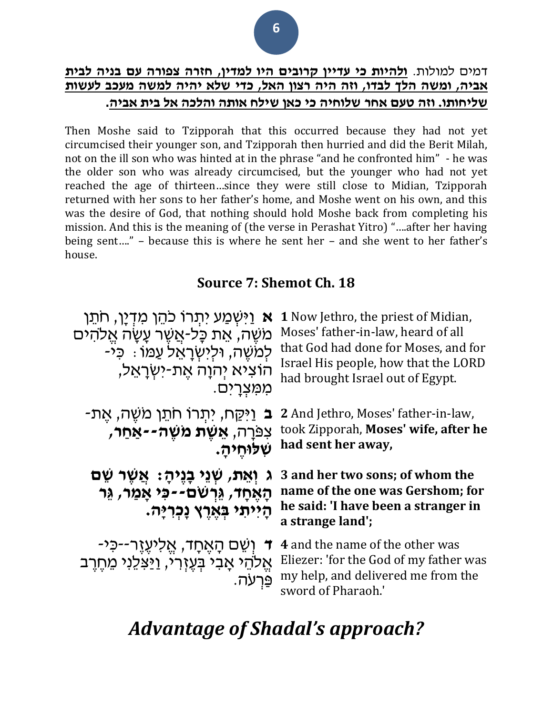### דמים למולות. **ולהיות כי עדיין קרובים היו למדין, חזרה צפורה עם בניה לבית אביה, ומשה הלך לבדו, וזה היה רצון האל, כדי שלא יהיה למשה מעכב לעשות שליחותו. וזה טעם אחר שלוחיה כי כאן שילח אותה והלכה אל בית אביה.**

Then Moshe said to Tzipporah that this occurred because they had not yet circumcised their younger son, and Tzipporah then hurried and did the Berit Milah, not on the ill son who was hinted at in the phrase "and he confronted him" - he was the older son who was already circumcised, but the younger who had not yet reached the age of thirteen…since they were still close to Midian, Tzipporah returned with her sons to her father's home, and Moshe went on his own, and this was the desire of God, that nothing should hold Moshe back from completing his mission. And this is the meaning of (the verse in Perashat Yitro) "….after her having being sent…." – because this is where he sent her – and she went to her father's house.

## **Source 7: Shemot Ch. 18**

| א וַיִּשְׁמַע יִתְרוֹ כֹהֵן מִדְיַן, חֹתֵן                                                            | <b>1</b> Now Jethro, the priest of Midian,                                                                                            |
|-------------------------------------------------------------------------------------------------------|---------------------------------------------------------------------------------------------------------------------------------------|
| משֶׁה, אֵת כָּל-אֲשֶׁר עָשָׂה אֱלֹהִים                                                                | Moses' father-in-law, heard of all                                                                                                    |
| ַלְמֹשֶׁה, וּלְיִשְׂרָאֵל עַמּוֹ : כִּיֹ                                                              | that God had done for Moses, and for                                                                                                  |
| הוציא יְהוַה אֵת-יִשְׂרָאֵל,                                                                          | Israel His people, how that the LORD                                                                                                  |
| ממִצְרַיִם.                                                                                           | had brought Israel out of Egypt.                                                                                                      |
| ב וַיִּקַח, יִתְרוֹ חֹתֵן מִשֶּׁה, אֶת-                                                               | 2 And Jethro, Moses' father-in-law,                                                                                                   |
| צפּרָה, <b>אֵשֶׁת מִשָּׁה--אַחַר,</b>                                                                 | took Zipporah, Moses' wife, after he                                                                                                  |
| שלוחיה.                                                                                               | had sent her away,                                                                                                                    |
| ּג וְאֵת, שְׁנֵי בָנֶיהָ: אֲשֶׁר שֵׁם<br>הָאֵחָד, גֵּרְשׁם--כִּי אֲמַר, גֵּר<br>הייתי בארץ נכריה.     | 3 and her two sons; of whom the<br>name of the one was Gershom; for<br>he said: 'I have been a stranger in<br>a strange land';        |
| ד וְשֵׁם הָאֶחָד, אֱלִיעֶזֶר--כִּי <i>-</i><br>אַלהֵי אָבי בִּעֵזְרִי, וַיַּצְלֵנִי מֵחֶרֶב<br>פּרעה. | 4 and the name of the other was<br>Eliezer: 'for the God of my father was<br>my help, and delivered me from the<br>sword of Pharaoh.' |

# *Advantage of Shadal's approach?*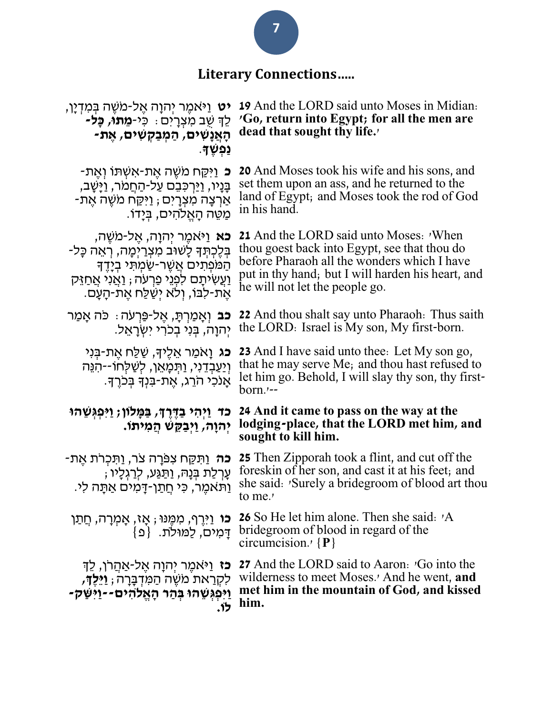# **Literary Connections…..**

| <b>יט</b> וַיּאמֵר יִהוַה אֵל-מֹשֵׁה בִּמְדְיַן,<br>לֶךְ שֶׁב מְצִרָיִם : כִּי <b>-מֵתוּ, כָּל-</b><br>ּהָאֲנָשִׁים, הַמְבַקְשִׁים, אֵת-<br>ַנְפְשֶׁ†ָ.                                                                       | <b>19</b> And the LORD said unto Moses in Midian.<br>'Go, return into Egypt; for all the men are<br>dead that sought thy life.                                                                                                             |  |
|-------------------------------------------------------------------------------------------------------------------------------------------------------------------------------------------------------------------------------|--------------------------------------------------------------------------------------------------------------------------------------------------------------------------------------------------------------------------------------------|--|
| <b>ֿכ</b> וַיִּקַּח מֹשֶׁה אֱת-אִשָּׁתּוֹ וְאֵת-<br>בָּנָיו, וַיַּרִכִּבֵם עַל-הַחֲמֹר, וַיָּשָׁב,<br>-אַרְצָה מִצְרָיִם ; וַיִּקַּח מֹשֶׁה אֶת<br>ּמַטֵּה הָאֵלֹהִים, בִּיָדוֹ.                                              | <b>20</b> And Moses took his wife and his sons, and<br>set them upon an ass, and he returned to the<br>land of Egypt; and Moses took the rod of God<br>in his hand.                                                                        |  |
| <b>כא</b> וַיּאמֵר יִהוָה, אֵל-מֹשֵׁה,<br>בִּלֵכְתִּךְ לָשׁוּב מִצְרַיִמָה, רָאֵה כָּל-<br>הַמֹּפְתִים אֲשֶׁר-שַׂמִתִּי בְיָדֵךָ<br>וַעֲשִׂיתָם לִפְנֵי פַרְעֹה ; וַאֲנִי אֲחַזֶּק<br>ּאֵת-לִבּוֹ, וְלֹא יְשַׁלַּח אֱת-הָעָם. | <b>21</b> And the LORD said unto Moses: <i>N</i> hen<br>thou goest back into Egypt, see that thou do<br>before Pharaoh all the wonders which I have<br>put in thy hand; but I will harden his heart, and<br>he will not let the people go. |  |
| <b>כב</b> וְאָמַרְתָּ, אֵל-פַּרְעֹה ּ כֹּה אָמַר<br>יִהוָה, בִּנִי בְּכֹרִי יִשְׂרָאֵל.                                                                                                                                       | <b>22</b> And thou shalt say unto Pharaoh: Thus saith<br>the LORD: Israel is My son, My first-born.                                                                                                                                        |  |
| <b>ָכֹג</b> וָאֹמַר אֵלֵיךָ, שַׁלַַח אֵת-בִּנִי<br>וְיַעַבְדֵנִי, וַתְּמָאֵן, לִשַּׁלְחוֹ--הִנֵּה<br>אַנֹכִי הֹרֵג, אֵת-בִּנְךָ בְּכֹרֶךָ.                                                                                    | <b>23</b> And I have said unto thee: Let My son go,<br>that he may serve Me; and thou hast refused to<br>let him go. Behold, I will slay thy son, thy first-<br>$born. --$                                                                 |  |
| כד וַיְהִי בַדֶּרֵךָ, בַּמְּלוֹן; וַיְּפְגִּשֶׁהוּ<br>יִהוָה, וַיִּבַּקֵּשׁ הַמִּיתוֹ.                                                                                                                                        | 24 And it came to pass on the way at the<br>lodging-place, that the LORD met him, and<br>sought to kill him.                                                                                                                               |  |
| <b>כה</b> וַתִּקַח צִפּרָה צֹר, וַתְּכְרֹת אֵת-<br>ַעֲרָלַת בִּנָהּ, וַתַּגַּע, לְרַגְלָיו<br>וַתּאמֵר, כִּי חֵתַן-דָּמִים אַתָּה לִי.                                                                                        | 25 Then Zipporah took a flint, and cut off the<br>foreskin of her son, and cast it at his feet; and<br>she said: 'Surely a bride groom of blood art thou<br>to me.                                                                         |  |
| <b>כו</b> וַיִּרֶף, מִמֶּנּוּ ; אָז, אָמְרָה, חֲתַן<br>דַּמִים, לַמּוּלֹת.  {פ}                                                                                                                                               | <b>26</b> So He let him alone. Then she said: 'A<br>bridegroom of blood in regard of the<br>circumcision. $\{P\}$                                                                                                                          |  |
| <b>כז</b> וַיּאמֵר יִהוָה אֵל-אַהַרֹן, לֵדְ<br>לִקְרַאת מֹשֶׁה חַמִּדְבָּרָה ; וַיֵּלֶדָּ,<br>וַיִּפְגְּשֵׁהוּ בְּהַר הָאֱלֹהִים--וַיִּשַּׁק-<br>לו.                                                                          | 27 And the LORD said to Aaron: 'Go into the<br>wilderness to meet Moses.' And he went, and<br>met him in the mountain of God, and kissed<br>him.                                                                                           |  |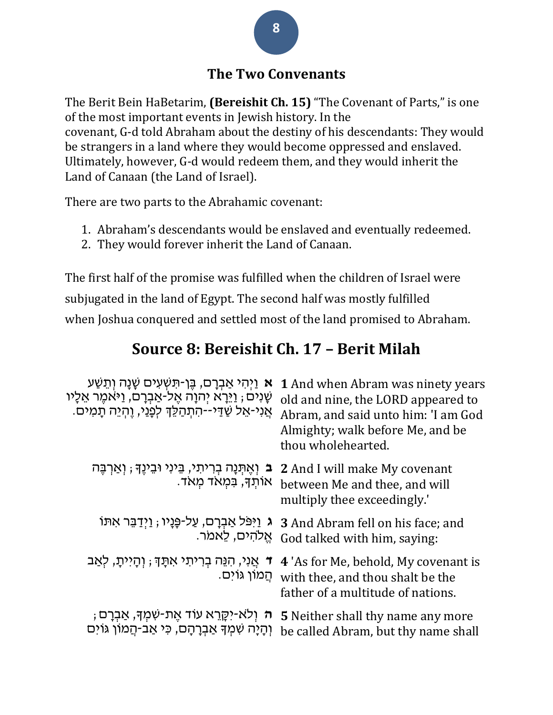## **The Two Convenants**

The Berit Bein HaBetarim, **(Bereishit Ch. 15)** "The Covenant of Parts," is one of the most important events in Jewish history. In the covenant, G-d told Abraham about the destiny of his descendants: They would be strangers in a land where they would become oppressed and enslaved. Ultimately, however, G-d would redeem them, and they would inherit the Land of Canaan (the Land of Israel).

There are two parts to the Abrahamic covenant:

- 1. Abraham's descendants would be enslaved and eventually redeemed.
- 2. They would forever inherit the Land of Canaan.

The first half of the promise was fulfilled when the children of Israel were subjugated in the land of Egypt. The second half was mostly fulfilled when Joshua conquered and settled most of the land promised to Abraham.

## **Source 8: Bereishit Ch. 17 – Berit Milah**

| א וַיִּהִי אַבְרָם, בֵּן-תִּשְׁעִים שָׁנָה וְתֵשַּׁע<br>ּשָׁנִים; וַיֵּרָא יִהוָה אֵל-אַבְרָם, וַיּאִמֵר אֵלָיו<br>אֲנִי-אֵל שַׁדַּי--הִתְהַלֵּךְ לְפָנַי, וֵהְיֵה תָמִים. | 1 And when Abram was ninety years<br>old and nine, the LORD appeared to<br>Abram, and said unto him: 'I am God<br>Almighty; walk before Me, and be<br>thou wholehearted. |
|----------------------------------------------------------------------------------------------------------------------------------------------------------------------------|--------------------------------------------------------------------------------------------------------------------------------------------------------------------------|
| ב וְאֶתְּנָה בְרִיתִי, בֵּינִי וּבֵינֶךָ ; וְאַרְבֶּה<br>אותך, במאד מאד.                                                                                                   | <b>2</b> And I will make My covenant<br>between Me and thee, and will<br>multiply thee exceedingly.'                                                                     |
| ג וַיִּפֹּל אַבְרָם, עַל-פָּנָיו ; וַיְדַבֵּר אִתּוֹ<br>אַלהים, לֵאמֹר.                                                                                                    | <b>3</b> And Abram fell on his face; and<br>God talked with him, saying:                                                                                                 |
| ד אֲנִי, הִנֵּה בִרִיתִי אִתָּךָ ; וְהָיִיתָ, לִאַב<br>ּהֲמוֹן גּוֹיִם.                                                                                                    | 4 'As for Me, behold, My covenant is<br>with thee, and thou shalt be the<br>father of a multitude of nations.                                                            |
| ֶ <b>ה</b> וְלֹא-יִקֶּרֵא עוֹד אֶת-שִׁמְךָּ, אַבְרָם ;<br>וְהָיָה שִׁמְךָּ אַבְרָהָם, כִּי אַב-הֲמוֹן גּוֹיִם                                                              | <b>5</b> Neither shall thy name any more<br>be called Abram, but thy name shall                                                                                          |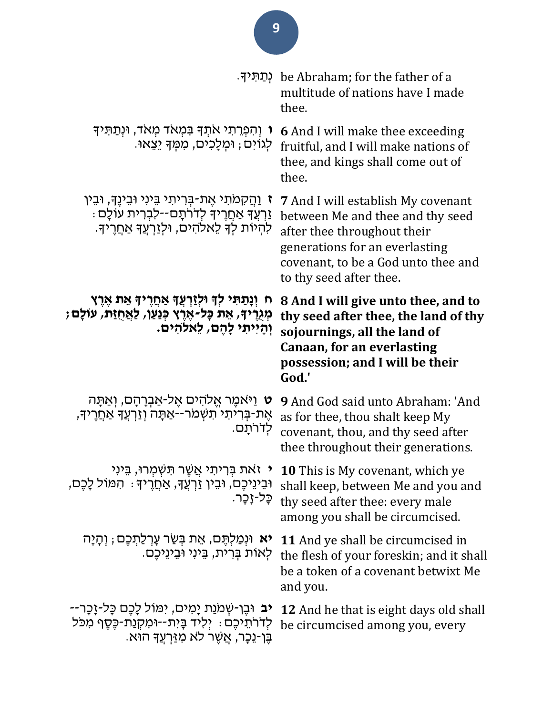|                                                                                                                                                              | ּפְתַּיִדְי<br>multitude of nations have I made<br>thee.                                                                                                                                                         |
|--------------------------------------------------------------------------------------------------------------------------------------------------------------|------------------------------------------------------------------------------------------------------------------------------------------------------------------------------------------------------------------|
| ו וְהִפְרֵתִי אֹתְךָ בִּמְאֹד מְאֹד, וּנְתַתִּיךָ<br>לְגוֹיִם; וּמְלָכִים, מִמְךָ יֵצֵאוּ.                                                                   | <b>6</b> And I will make thee exceeding<br>fruitful, and I will make nations of<br>thee, and kings shall come out of<br>thee.                                                                                    |
| ז וַהֲקָמֹתִי אֵת-בִּרִיתִי בֵּינִי וּבֵינֵךָ, וּבֵין<br>ַּזַרְעֲךָ אַחֲרֶיךָ לְדֹרֹתָם--לִבְרִית עוֹלָם<br>לְהִיוֹת לִדְ לְאלֹהִים, וּלְזַרְעֵדְ אַחֲרֵידְ. | <b>7</b> And I will establish My covenant<br>between Me and thee and thy seed<br>after thee throughout their<br>generations for an everlasting<br>covenant, to be a God unto thee and<br>to thy seed after thee. |
| ָּח וְנָתַתִּי לְךָ וּלְזַרְעֲךָ אַחֲרֶיךָ אֵת אֶרֶץ<br>מְגֻרֶיךָ, אֵת כָּל-אֶרֶץ כְּנַעַן, לַאֲחֻזַּת, עוֹלָם<br>וְהַיִיתִי לַהֶם, לֵאלהים.                 | 8 And I will give unto thee, and to<br>thy seed after thee, the land of thy<br>sojournings, all the land of<br>Canaan, for an everlasting<br>possession; and I will be their<br>God.'                            |
| <b>ָט</b> וַיּאמֶר אֱלֹהִים אֱל-אַבְרָהָם, וְאַתָּה<br>אֵת-בִּרִיתִי תִשְׁמֹר--אֲתָּה וְזַרְעֵךָ אַחֲרֵיךָ,<br>לִדֹרֹתַם.                                    | <b>9</b> And God said unto Abraham: 'And<br>as for thee, thou shalt keep My<br>covenant, thou, and thy seed after<br>thee throughout their generations.                                                          |
| ּוּבֵינֵיכֶם, וּבֵין זַרְעֲדָּ, אַחֲרֶידָּ : הִמּוֹל לָכֵם,<br>כָּל-זָכָר.                                                                                   | י זאת בְּרִיתִי אֲשֶׁר תִּשְׁמִרוּ, בֵּינִי 10 This is My covenant, which ye<br>shall keep, between Me and you and<br>thy seed after thee: every male<br>among you shall be circumcised.                         |
| יא וּנְמַלְתֶּם, אֵת בְּשַׂר עָרְלַתְכֶם ; וְהָיָה<br>לִאוֹת בִּרְית, בֵּינִי וּבֵינֵיכֵם.                                                                   | <b>11</b> And ye shall be circumcised in<br>the flesh of your foreskin; and it shall<br>be a token of a covenant betwixt Me<br>and you.                                                                          |
| יב וּבֵן-שִׁמֹנַת יָמִים, יִמּוֹל לָכֵם כָּל-זָכָר--<br>לדרתיכם ִּילִיד בָּיִת--וּמִקְנַת-כֵּסֵף מִכֹּל<br>ּבֵּן-נֵכָר, אֲשֶׁר לֹא מְזַּרְעֵךָ הוֹּא.        | <b>12</b> And he that is eight days old shall<br>be circumcised among you, every                                                                                                                                 |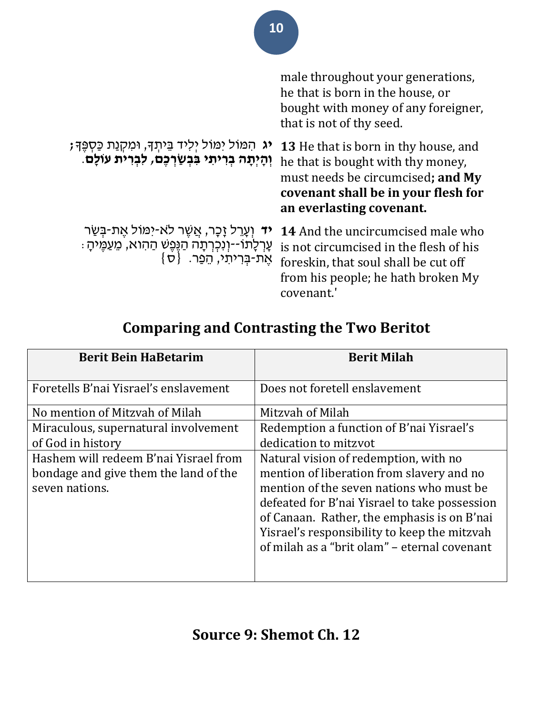|                                                                                                                                                | male throughout your generations,<br>he that is born in the house, or<br>bought with money of any foreigner,<br>that is not of thy seed.                                                 |
|------------------------------------------------------------------------------------------------------------------------------------------------|------------------------------------------------------------------------------------------------------------------------------------------------------------------------------------------|
| יג הִמּוֹל יִמּוֹל יְלִיד בֵּיתְךָ, וּמִקְנַת כַּסְפֶּךָ;<br>וְהָיִ <b>תָה בְרִיתִי בִּבְשַׂרְכֶם, לִבְרִית עוֹלָם</b> .                       | <b>13</b> He that is born in thy house, and<br>he that is bought with thy money,<br>must needs be circumcised; and My<br>covenant shall be in your flesh for<br>an everlasting covenant. |
| <b>יד</b> וְעָרֵל זָכָר, אֲשֶׁר לֹא-יִמּוֹל אֵת-בִּשַּׂר<br>עָרְלֶתוֹ--וְנִכְרְתָה הַנֶּפֶשׁ הַהִוא, מֵעַמֶּיתָ :<br>אֶת-בְּרִיתִי, הֵפַר. {ס} | 14 And the uncircumcised male who<br>is not circumcised in the flesh of his<br>foreskin, that soul shall be cut off<br>from his people; he hath broken My<br>covenant.                   |

# **Comparing and Contrasting the Two Beritot**

| <b>Berit Bein HaBetarim</b>                                                                      | <b>Berit Milah</b>                                                                                                                                                                                                                                                                                                             |
|--------------------------------------------------------------------------------------------------|--------------------------------------------------------------------------------------------------------------------------------------------------------------------------------------------------------------------------------------------------------------------------------------------------------------------------------|
| Foretells B'nai Yisrael's enslavement                                                            | Does not foretell enslavement                                                                                                                                                                                                                                                                                                  |
| No mention of Mitzvah of Milah                                                                   | Mitzvah of Milah                                                                                                                                                                                                                                                                                                               |
| Miraculous, supernatural involvement                                                             | Redemption a function of B'nai Yisrael's                                                                                                                                                                                                                                                                                       |
| of God in history                                                                                | dedication to mitzvot                                                                                                                                                                                                                                                                                                          |
| Hashem will redeem B'nai Yisrael from<br>bondage and give them the land of the<br>seven nations. | Natural vision of redemption, with no<br>mention of liberation from slavery and no<br>mention of the seven nations who must be<br>defeated for B'nai Yisrael to take possession<br>of Canaan. Rather, the emphasis is on B'nai<br>Yisrael's responsibility to keep the mitzvah<br>of milah as a "brit olam" - eternal covenant |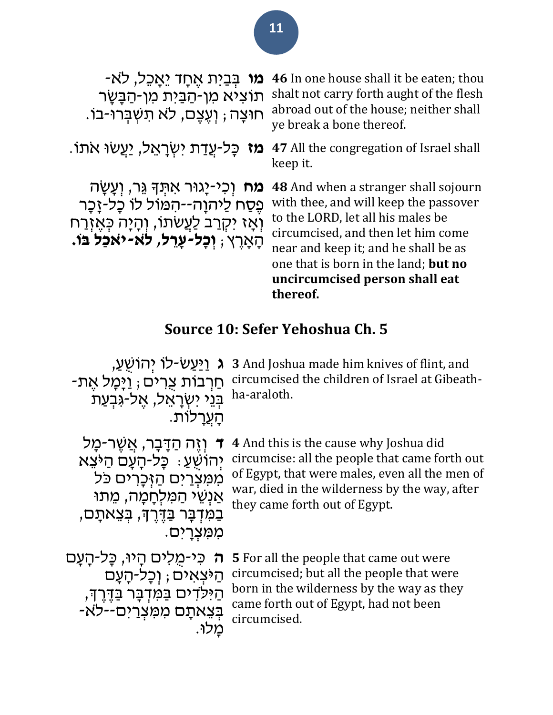## **ּמו** בְּבַיִּת אֵחֲד יֵאֲכֵל, לֹא-תוֹצִיא מִן-הַבַּיִת מִן-הַבָּשָׂר ּחוּצָה; וְעֶצֶם, לֹא תִשְׁבְּרוּ-בֹו.

**מח** וְכִי-יָגוּר אִתְּדָּ גֵּר, וְעָשָׂה פֵּסַח לַיהוָה--הִמּוֹל לוֹ כָּל-זָכָר וְ יִאָז יִקְרַב לַעֲשׂתוֹ, וְהָיָה כְּאֶזְרַח " הָׁ אָׁ רֶ ץ; **וְ כָּל-עָּ ר ל, ל ֹא-י ֹאכַל בֹו.** 

**46** In one house shall it be eaten; thou shalt not carry forth aught of the flesh abroad out of the house; neither shall ye break a bone thereof.

יִצְרָאֵל, יַעֲשׂוּ אֹתוֹ. 47 **מז** כָּל-עֲדַת יִשְׂרָאֵל, יַעֲשׂוּ אֹתוֹ. keep it.

> **48** And when a stranger shall sojourn with thee, and will keep the passover to the LORD, let all his males be circumcised, and then let him come near and keep it; and he shall be as one that is born in the land; **but no uncircumcised person shall eat thereof.**

# **Source 10: Sefer Yehoshua Ch. 5**

| <b>ּג</b> וַיַּעַשֹ-לוֹ יִהוֹשֻׁעַ,<br>- <u>ח</u> ַרְבוֹת צְרִים ; וַיָּמָל אֵת<br>בְּנֵי יִשְׂרָאֵל, אֵל-גִּבְעַת<br>הערלות.                                                | 3 And Joshua made him knives of flint, and<br>circumcised the children of Israel at Gibeath-<br>ha-araloth.                                                                                                                         |
|------------------------------------------------------------------------------------------------------------------------------------------------------------------------------|-------------------------------------------------------------------------------------------------------------------------------------------------------------------------------------------------------------------------------------|
| וְזֶה הַדָּבָר, אֲשֶׁר-מַל<br>יְהוֹשְׁעַ: כַּל-הַעֲם הַיּצֵא<br>ממצרים הַזִּכָרים כּל<br>אַנְשֶׁי הַמַּלְחֲמָה, מֶתוּ<br>בַמִּדְבָּר בַּדֶּרֶךְ, בִּצֵאתָם,<br>מִמִּצְרַיִם. | <b>4</b> And this is the cause why Joshua did<br>circumcise: all the people that came forth out<br>of Egypt, that were males, even all the men of<br>war, died in the wilderness by the way, after<br>they came forth out of Egypt. |
| ה כִּי-מִלִים הַיוּ, כַּל-הַעֲם<br>הַיּצאים; וִכָּל-הָעָם<br>הַיִּלֹדִים בַּמִּדְבָר בַּדֶרֶךְ,<br>-בְצֵאתָם מִמְצְרַים--לֹא                                                 | 5 For all the people that came out were<br>circumcised; but all the people that were<br>born in the wilderness by the way as they<br>came forth out of Egypt, had not been<br>circumcised.                                          |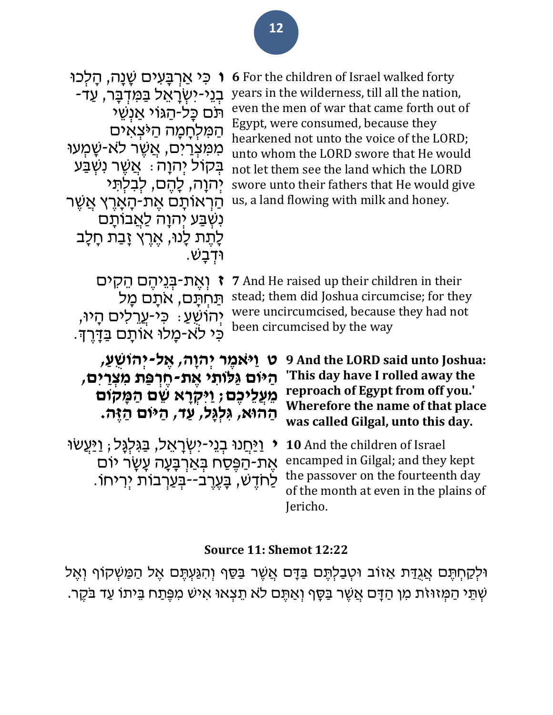| ו כִּי אַרְבָּעִים שַׁנַה, הַלְכוּ<br>ּבְנֵי-יִשְׂרָאֵל בַּמִּדְבָּר, עַד-<br>ּתּם כַּל-הַגּוֹי אַנְשֵׁי<br>המלחָמָה הַיּצְאִים<br>ממצרים, אַשֶׁר לא-שָמְעוּ<br>ּבִּקוֹל יְהוָה : אֲשֶׁר נִשְׁבַּע<br>יִהוַה, לַהֵם, לִבְלִתִּי<br>הַרְאוֹתָם אֵת-הָאָרֵץ אֲשֶׁר<br>נִשְׁבַּע יִהוָה <u>לַא</u> ֲבוֹתָם<br>לָתֶת לָנוּ, אֱרֵץ זָבַת חָלָב<br>ּוּדְבָשׁ.    |  | <b>6</b> For the children of Israel walked forty<br>years in the wilderness, till all the nation,<br>even the men of war that came forth out of<br>Egypt, were consumed, because they<br>hearkened not unto the voice of the LORD;<br>unto whom the LORD swore that He would<br>not let them see the land which the LORD<br>swore unto their fathers that He would give<br>us, a land flowing with milk and honey. |
|------------------------------------------------------------------------------------------------------------------------------------------------------------------------------------------------------------------------------------------------------------------------------------------------------------------------------------------------------------|--|--------------------------------------------------------------------------------------------------------------------------------------------------------------------------------------------------------------------------------------------------------------------------------------------------------------------------------------------------------------------------------------------------------------------|
| ז וְאֵת-בִּנֵיהֵם הֵקִים<br>תַּחִתַּם, אתַם מַל<br>יְהוֹשָׁעַ ִּ כִּי-עֲרֵלִים הָיוּ,<br>כּי לא-מָלוּ אוֹתָם בַּדָּרִךְ.                                                                                                                                                                                                                                   |  | <b>7</b> And He raised up their children in their<br>stead; them did Joshua circumcise; for they<br>were uncircumcised, because they had not<br>been circumcised by the way                                                                                                                                                                                                                                        |
| ּט וַיֹּאמֶר יְהוָה, אֶל-יְהוֹשִׁעַ,<br>9 And the LORD said unto Joshua:<br>'This day have I rolled away the<br>הַיּוֹם גַּלּוֹתי אֵת-חֵרְפַּת מִצְרַיִם,<br>reproach of Egypt from off you.'<br>מְעֲלֵיכֵם; וַיּקְרָא שֶׁם הַמָּקוֹם<br>Wherefore the name of that place<br>ּהַהוּא, גִּלְגָּל, עַד, הַיּוֹם הַזֶּה.<br>was called Gilgal, unto this day. |  |                                                                                                                                                                                                                                                                                                                                                                                                                    |
| <i>י</i> וַיַּחֲנוּ בְנֵי-יִשְׂרָאֵל, בַּגִּלְגָּל; וַיַּעֲשׂוּ<br>אֶת-הַפֶּּסַח בְּאַרְבָּעָה עָשָׂר יוֹם<br>ַלַחדָשׁ, בָּעֵרֵב--בִּעַרְבוֹת יִרִיחוֹ                                                                                                                                                                                                     |  | 10 And the children of Israel<br>encamped in Gilgal; and they kept<br>the passover on the fourteenth day<br>of the month at even in the plains of<br>Jericho.                                                                                                                                                                                                                                                      |

### **Source 11: Shemot 12:22**

ֿוּלְקַחְתֶּם אֲגִדַּת אֵזוֹב וּטְבַלְתֶּם בַּדָּם אֲשֶׁר בַּסַף וְהִגַּעְתֶּם אֶל הַמַּשְׁקוֹף וְאֶל שְׁתֵּי הַמְּזוּזֹת מִן הַדָּם אֲשֶׁר בַּסֶּף וְאַתֶּם לֹא תֵצְאוּ אִישׁ מִפֶּתַח בֵּיתוֹ עַד בֹּקֶר.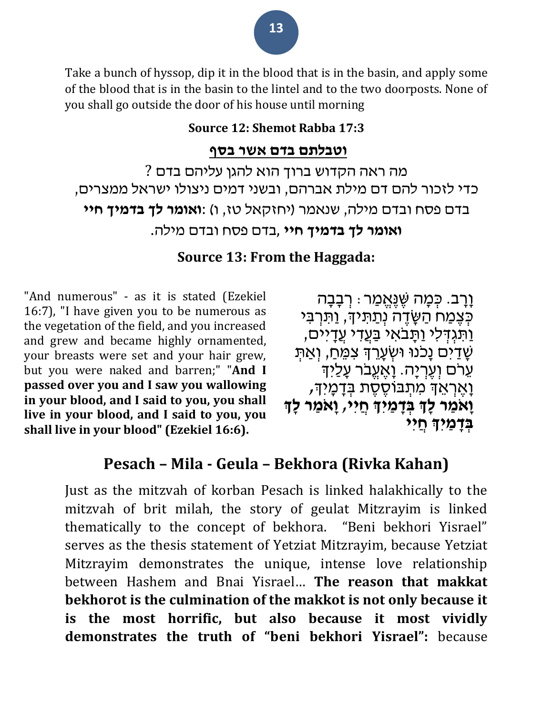Take a bunch of hyssop, dip it in the blood that is in the basin, and apply some of the blood that is in the basin to the lintel and to the two doorposts. None of you shall go outside the door of his house until morning

### **Source 12: Shemot Rabba 17:3**

### **וטבלתם בדם אשר בסף**

מה ראה הקדוש ברוך הוא להגן עליהם בדם ? כדי לזכור להם דם מילת אברהם, ובשני דמים ניצולו ישראל ממצרים, בדם פסח ובדם מילה, שנאמר )יחזקאל טז, ו( :**ואומר לך בדמיך חיי ואומר לך בדמיך חיי** ,בדם פסח ובדם מילה.

### **Source 13: From the Haggada:**

"And numerous" - as it is stated (Ezekiel 16:7), "I have given you to be numerous as the vegetation of the field, and you increased and grew and became highly ornamented, your breasts were set and your hair grew, but you were naked and barren;" "**And I passed over you and I saw you wallowing in your blood, and I said to you, you shall live in your blood, and I said to you, you shall live in your blood" (Ezekiel 16:6).**

ּוָ֫רָב. כְּמָה שֶׁנֶּאֱמַר ּ רְבָבָה כְּצֶמַח הַשָּׂדֶה נְתַתִּיךָ, וַתִּרְבִּי וַתְגְדְלִי וַתְּבאִי בַּעֲדִי עֲדָיים, <u>שָׁדַ</u>יִּם נָכנוּ וּשְׂעָרֵךְ צִמֵּחַ, וְאַתִּ ּעְרֹם וְעֵרְיָה. וָאֲעֵבֹר עָלַיִך **וָאֶרְאֵךְ מִתְבּוֹסֶסֶת בְּדָמְיִךְ, וָאמַר לָךְ בִּדָּמַיִךְ חַיִּי, וְא**ַמַר לְדִּ **בּדמֵי** חִיי

## **Pesach – Mila - Geula – Bekhora (Rivka Kahan)**

Just as the mitzvah of korban Pesach is linked halakhically to the mitzvah of brit milah, the story of geulat Mitzrayim is linked thematically to the concept of bekhora. "Beni bekhori Yisrael" serves as the thesis statement of Yetziat Mitzrayim, because Yetziat Mitzrayim demonstrates the unique, intense love relationship between Hashem and Bnai Yisrael… **The reason that makkat bekhorot is the culmination of the makkot is not only because it is the most horrific, but also because it most vividly demonstrates the truth of "beni bekhori Yisrael":** because